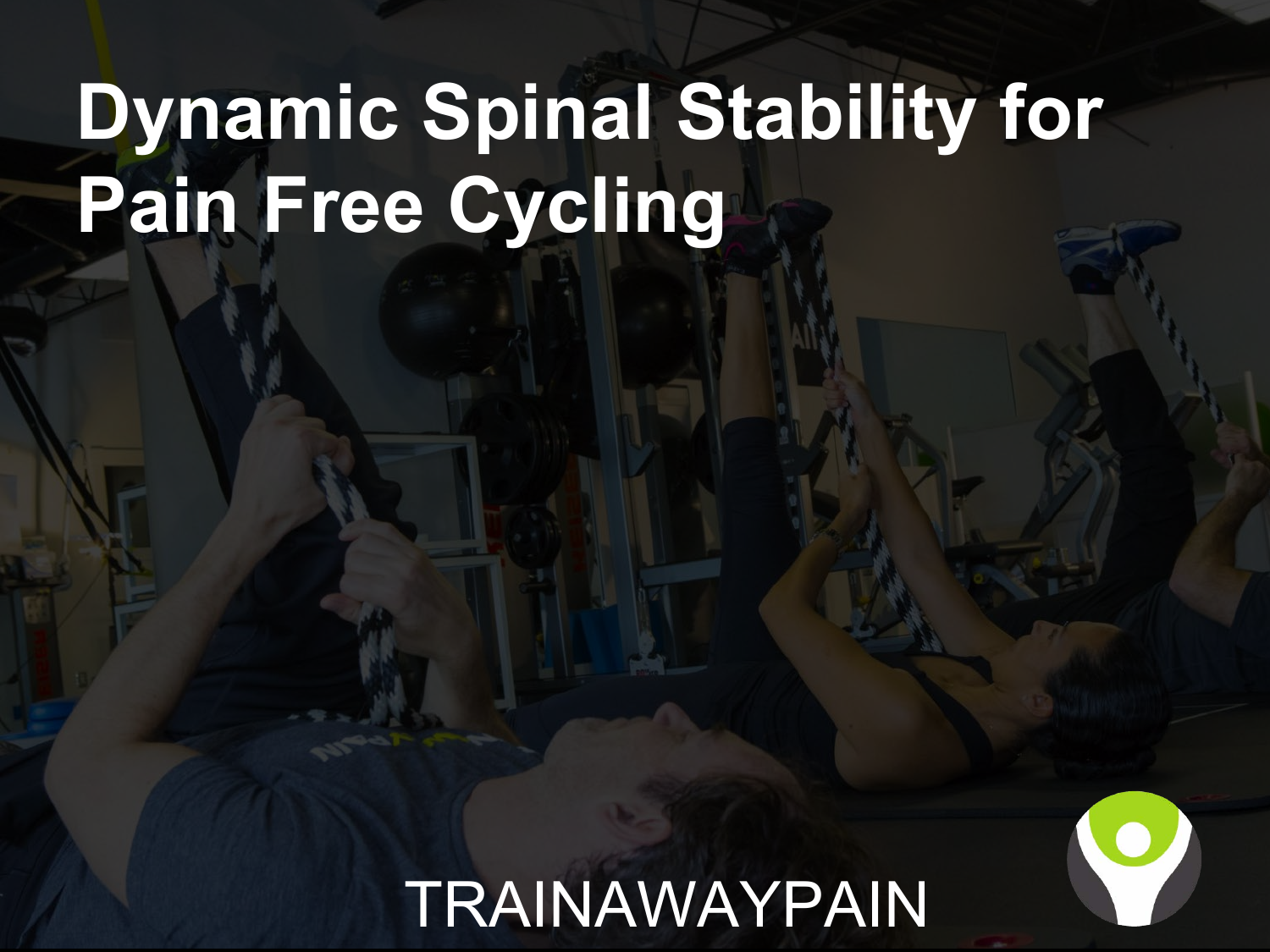## **Dynamic Spinal Stability for Pain Free Cycling**

#### **TRAINAWAYPAIN**

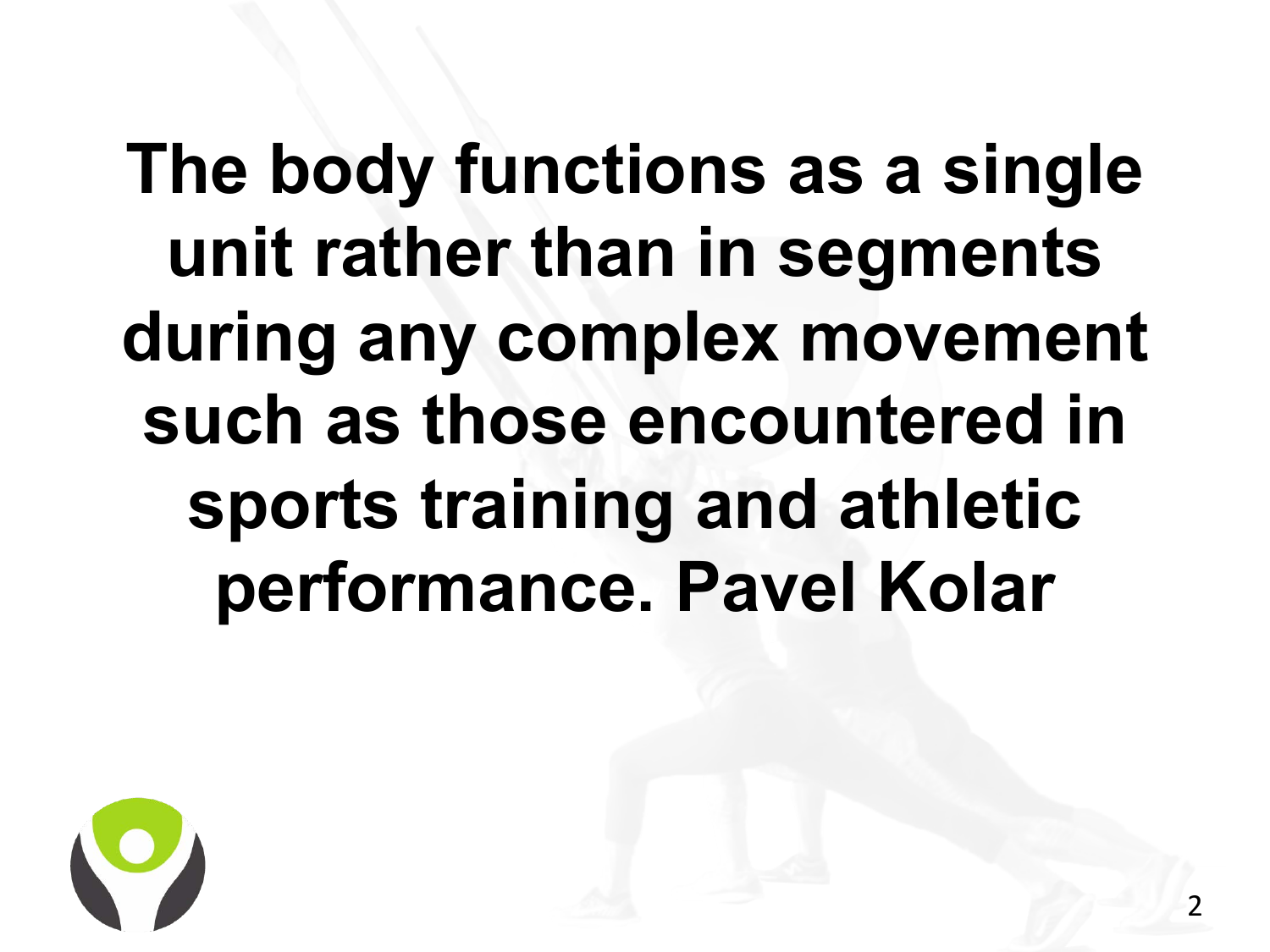**The body functions as a single unit rather than in segments during any complex movement such as those encountered in sports training and athletic performance. Pavel Kolar**

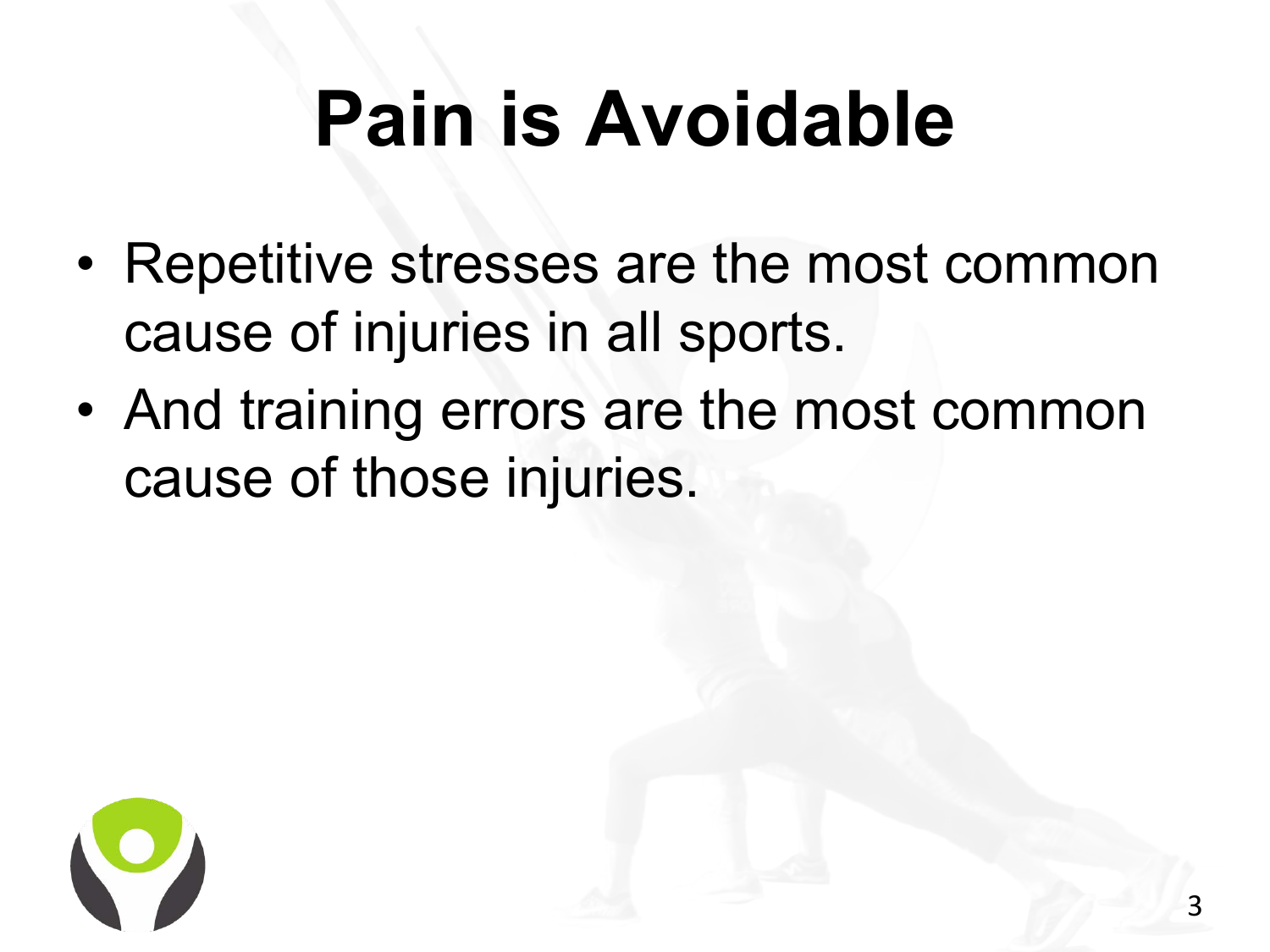# **Pain is Avoidable**

- Repetitive stresses are the most common cause of injuries in all sports.
- And training errors are the most common cause of those injuries.

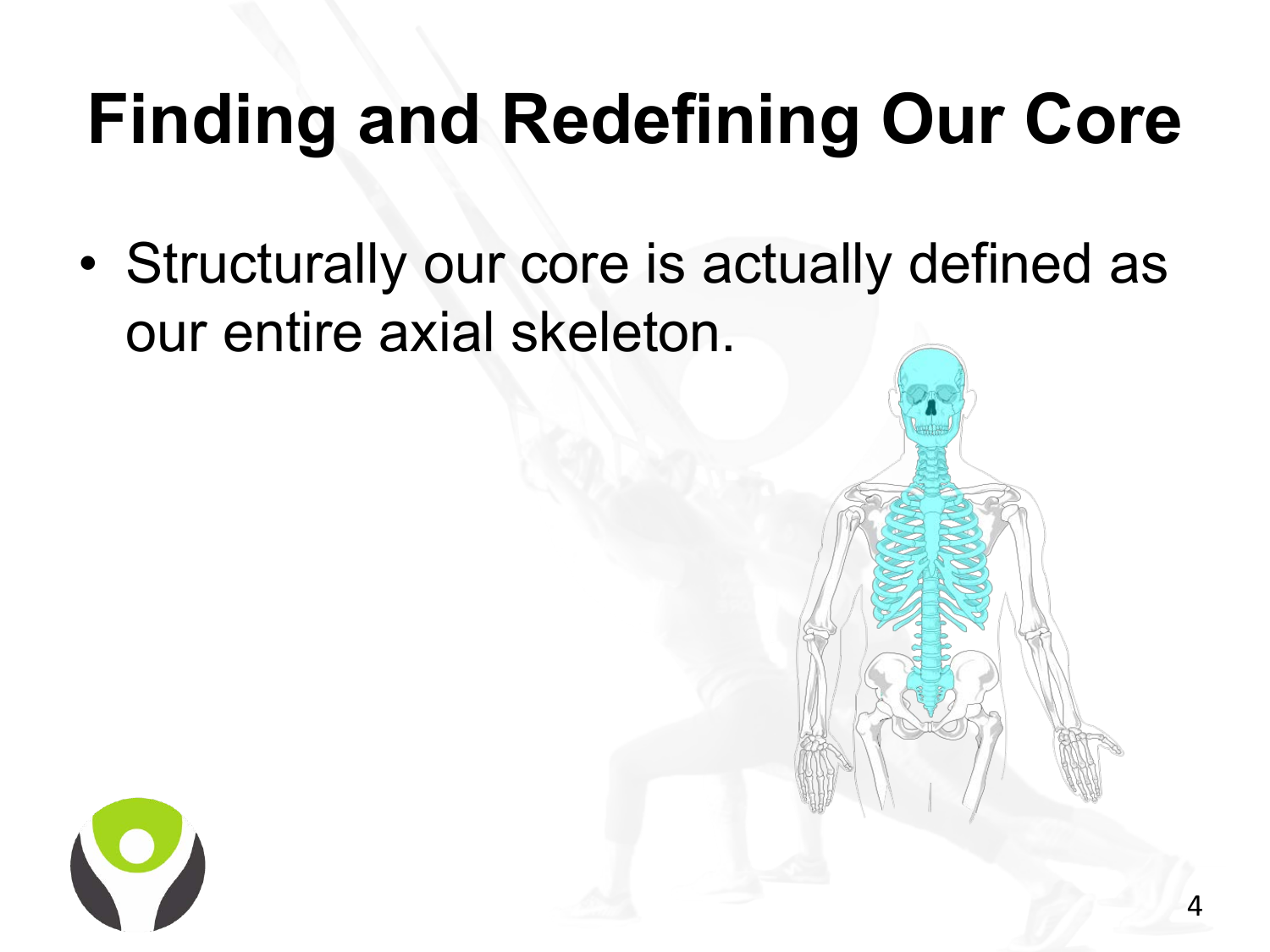### **Finding and Redefining Our Core**

• Structurally our core is actually defined as our entire axial skeleton.

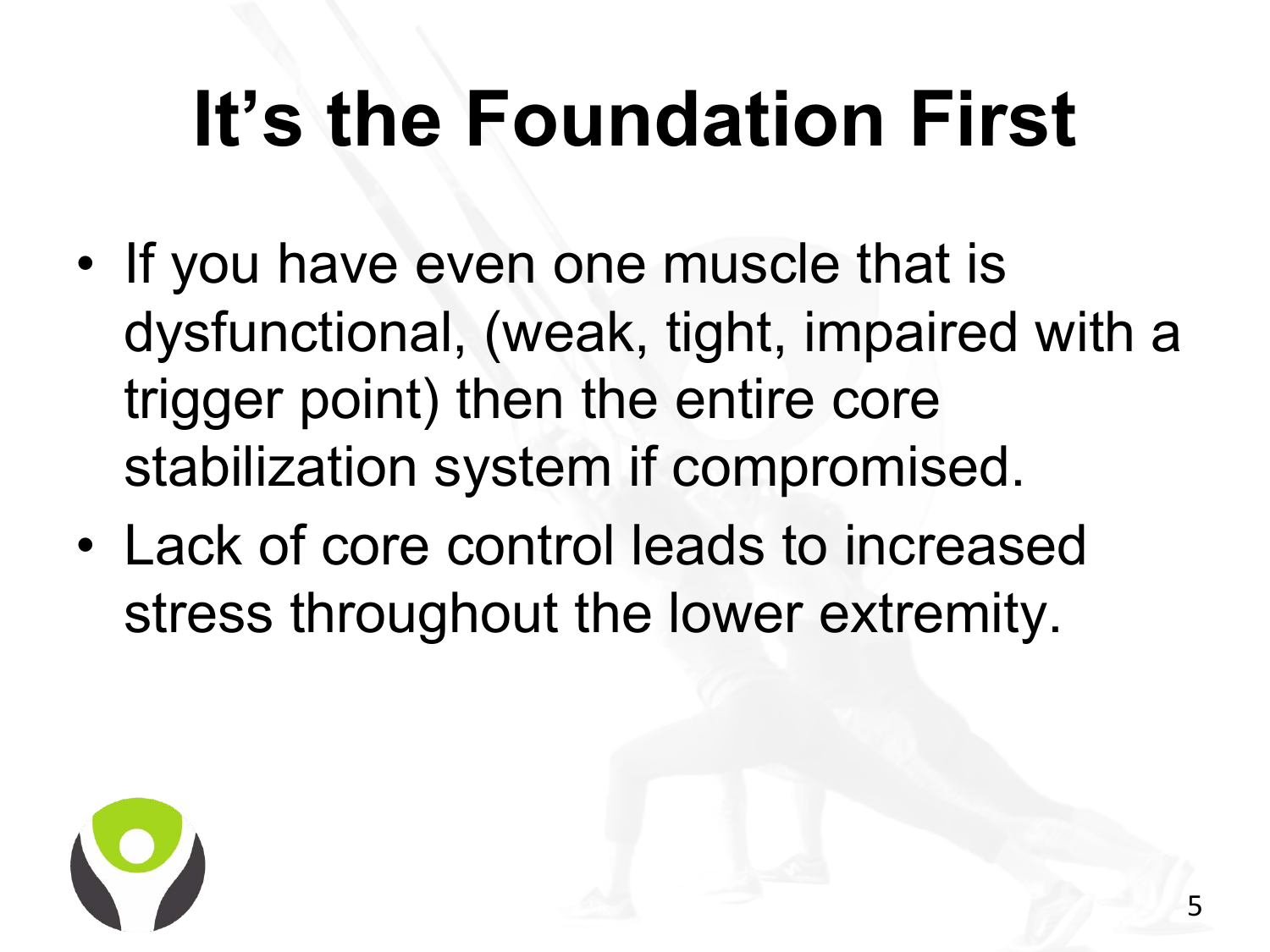### **It's the Foundation First**

- If you have even one muscle that is dysfunctional, (weak, tight, impaired with a trigger point) then the entire core stabilization system if compromised.
- Lack of core control leads to increased stress throughout the lower extremity.

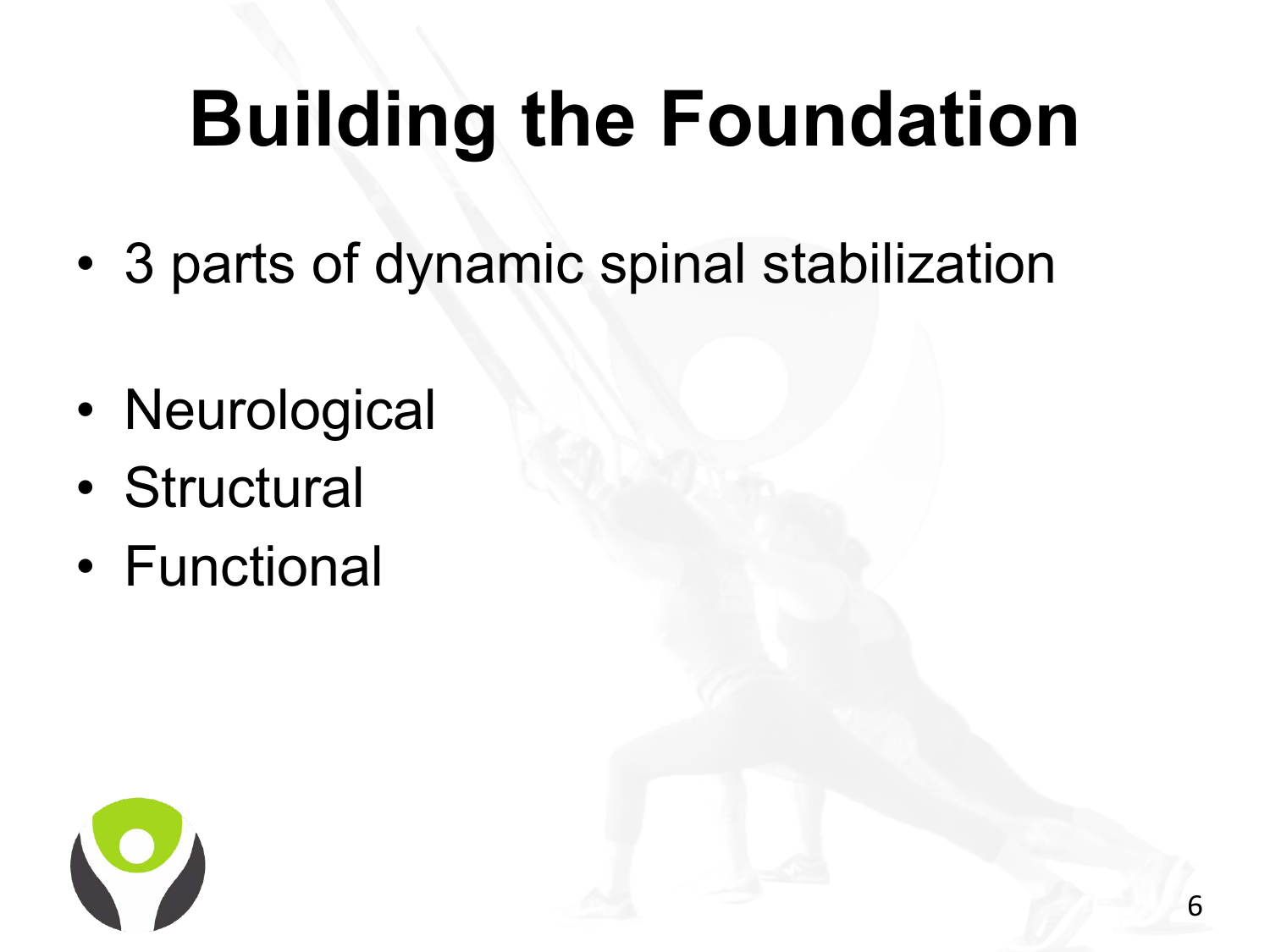# **Building the Foundation**

- 3 parts of dynamic spinal stabilization
- Neurological
- Structural
- Functional

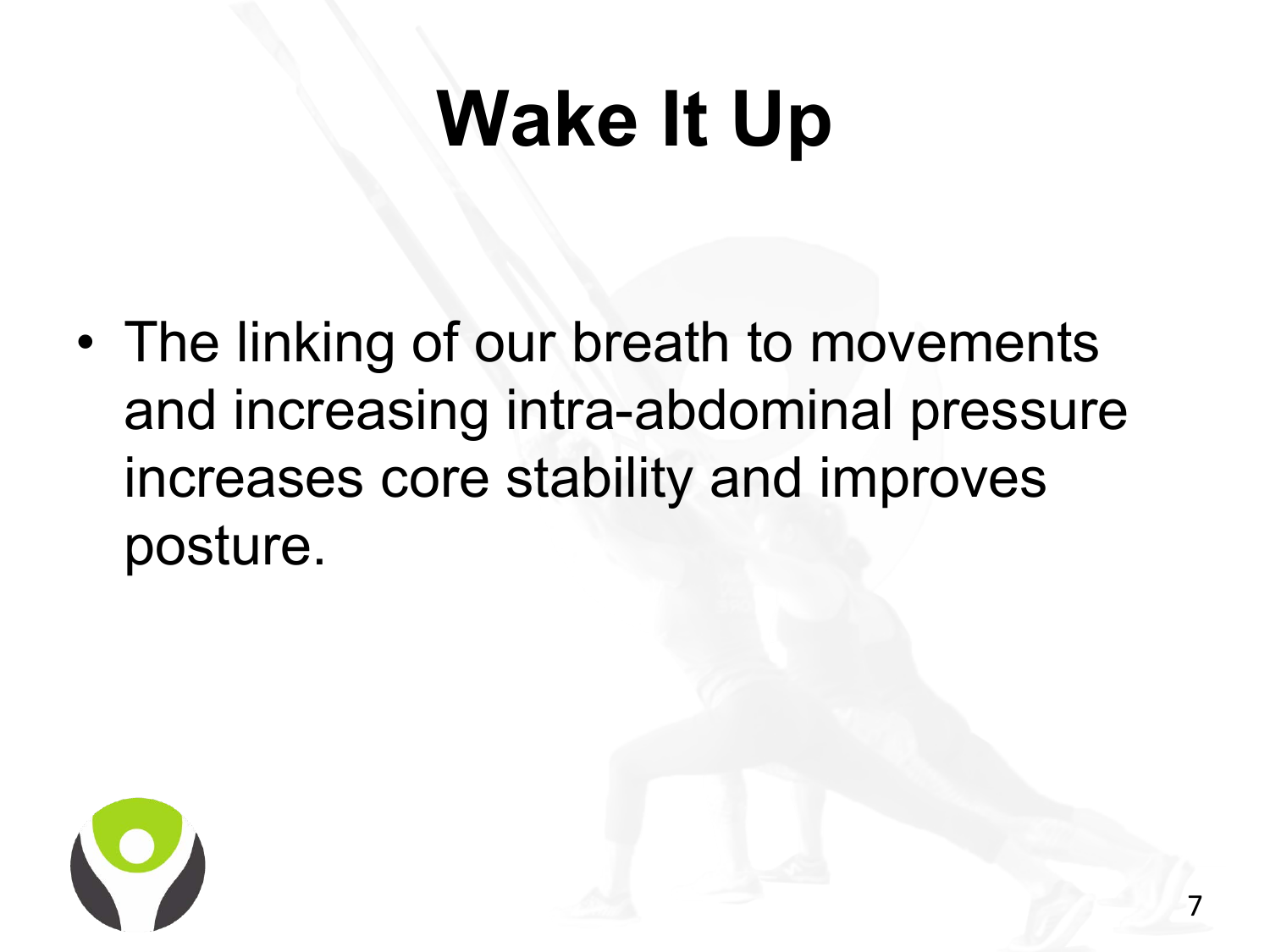### **Wake It Up**

• The linking of our breath to movements and increasing intra-abdominal pressure increases core stability and improves posture.

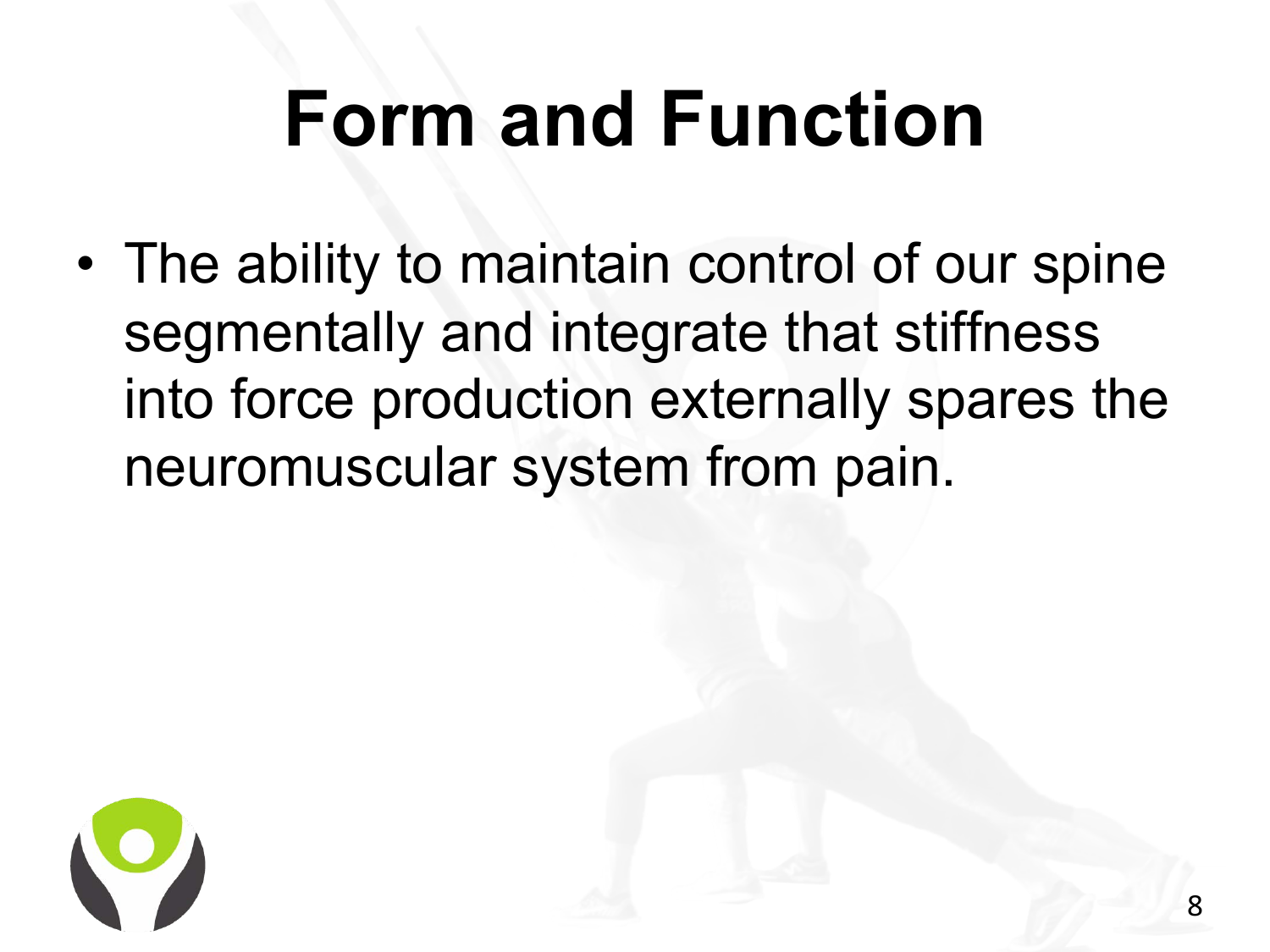### **Form and Function**

• The ability to maintain control of our spine segmentally and integrate that stiffness into force production externally spares the neuromuscular system from pain.

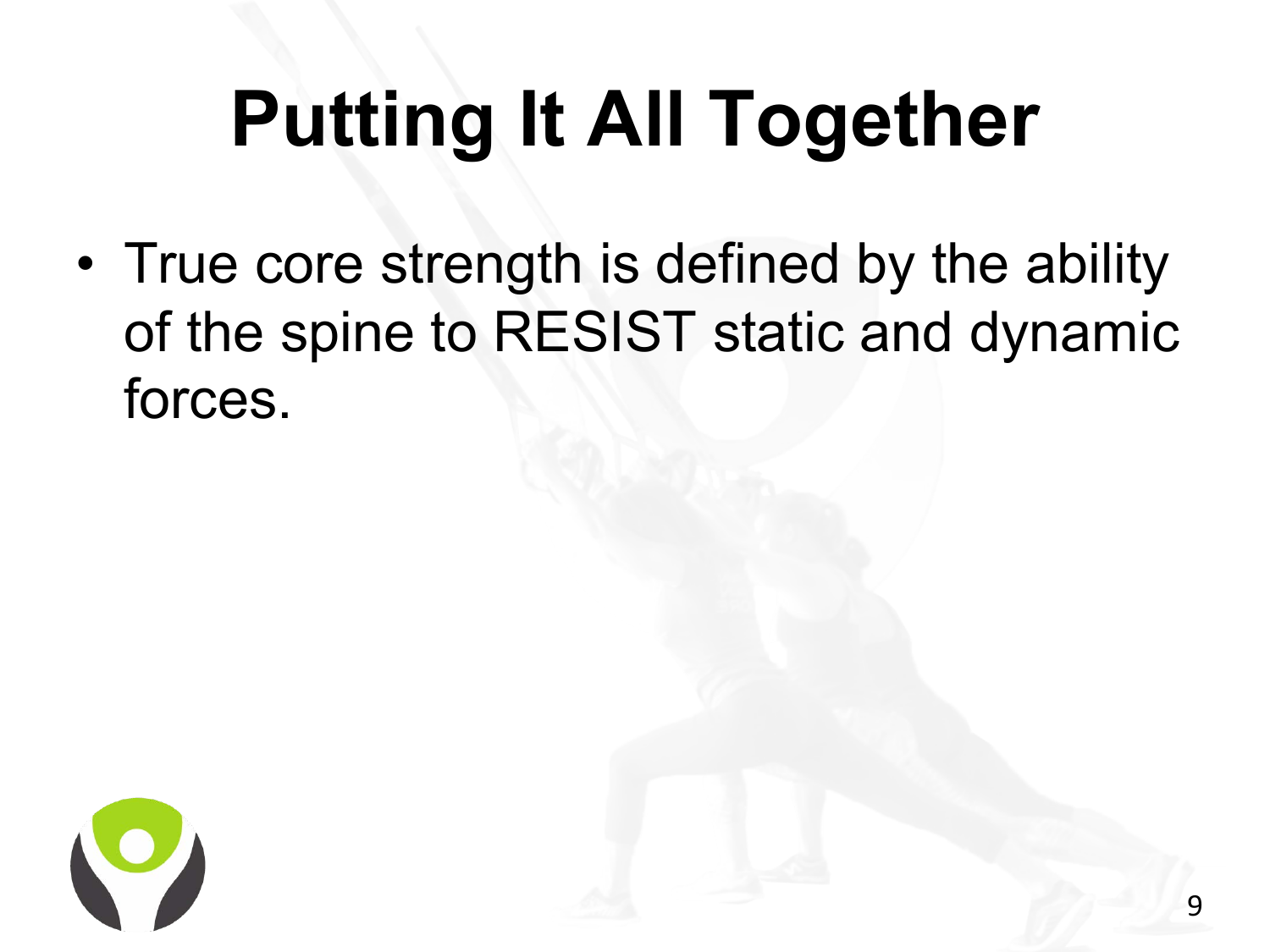# **Putting It All Together**

• True core strength is defined by the ability of the spine to RESIST static and dynamic forces.

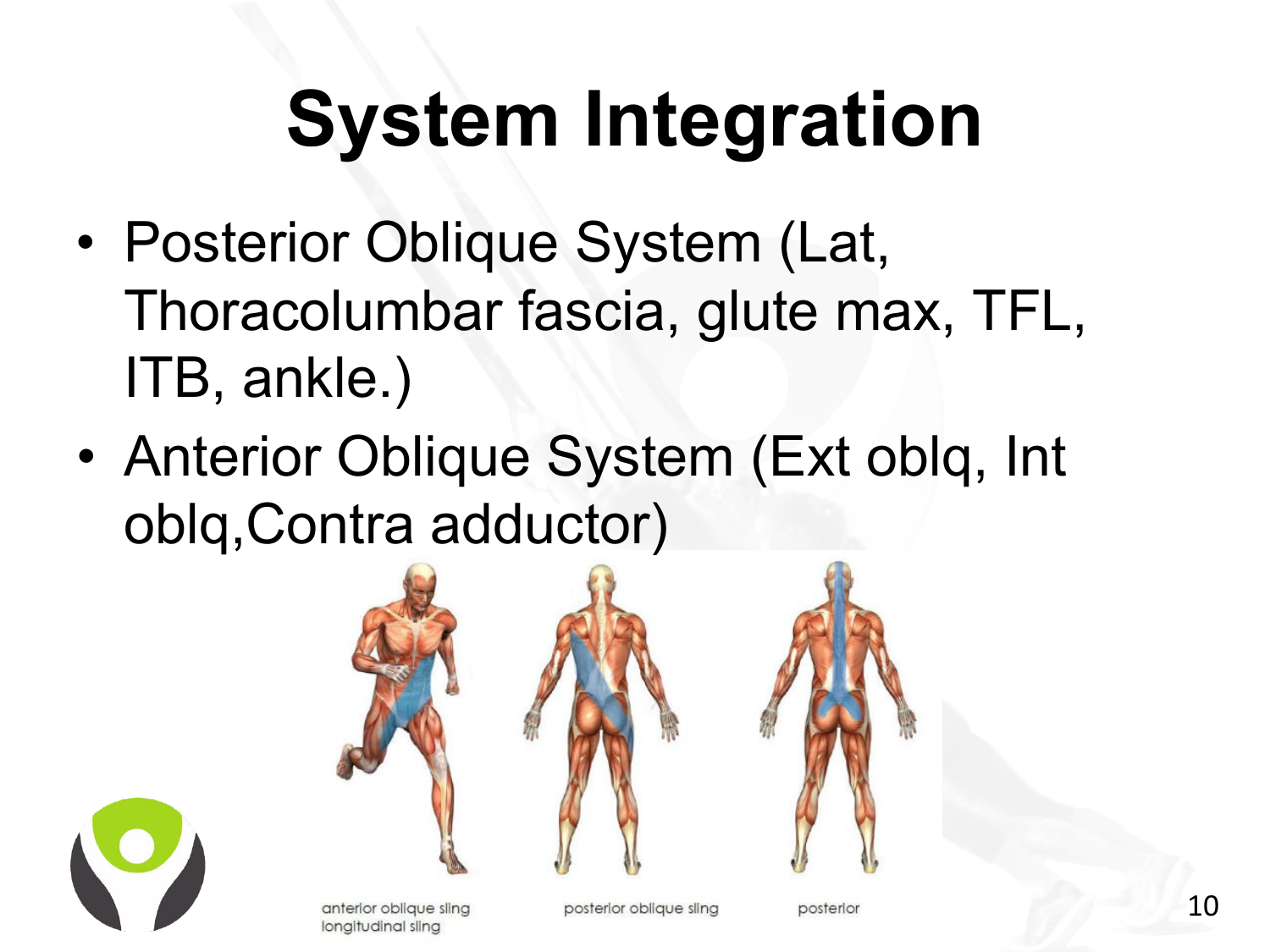# **System Integration**

- Posterior Oblique System (Lat, Thoracolumbar fascia, glute max, TFL, ITB, ankle.)
- Anterior Oblique System (Ext oblq, Int oblq,Contra adductor)



anterior oblique sling longitudinal sling

posterior oblique sling

posterior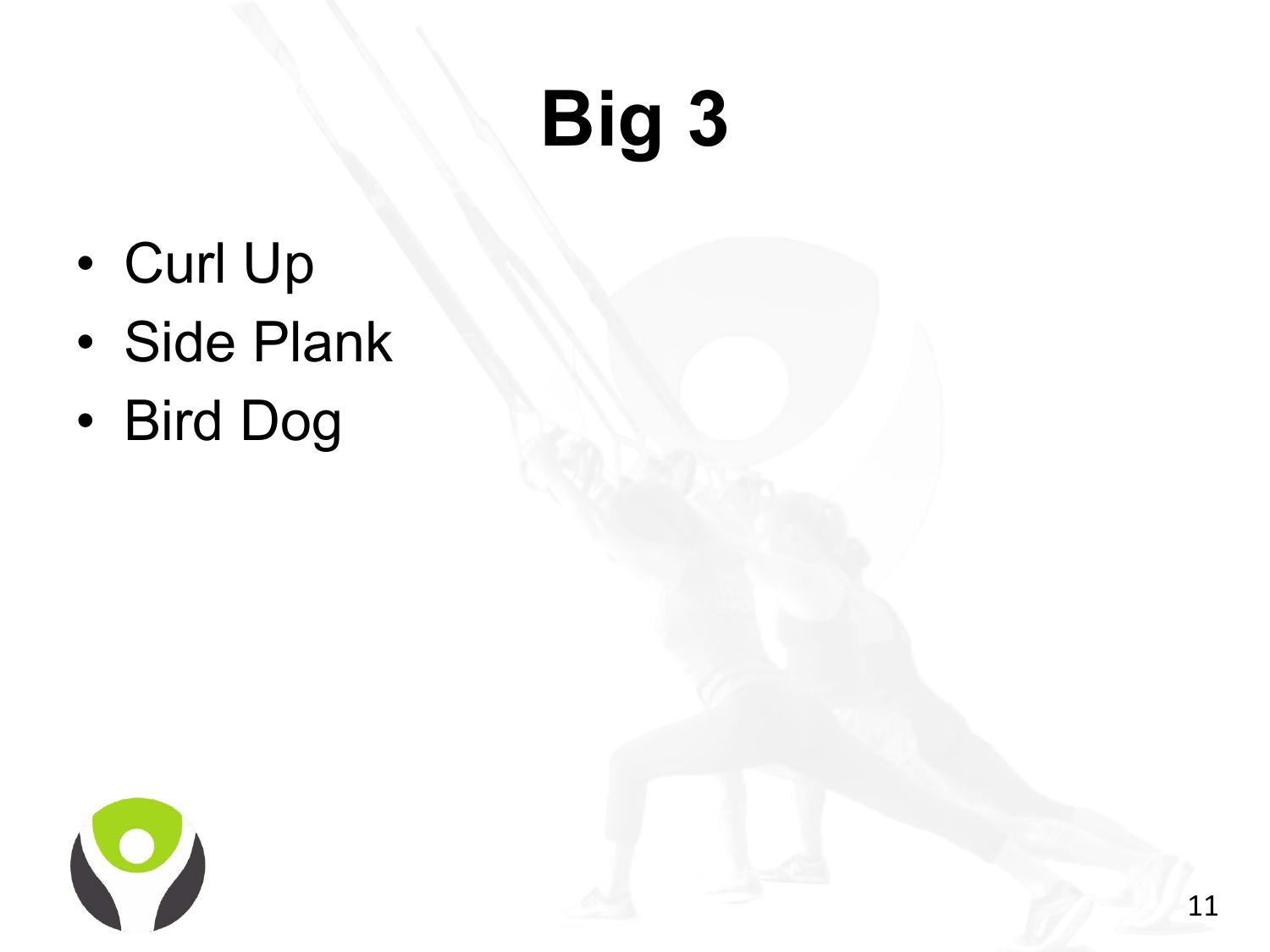# **Big 3**

- Curl Up
- Side Plank
- Bird Dog

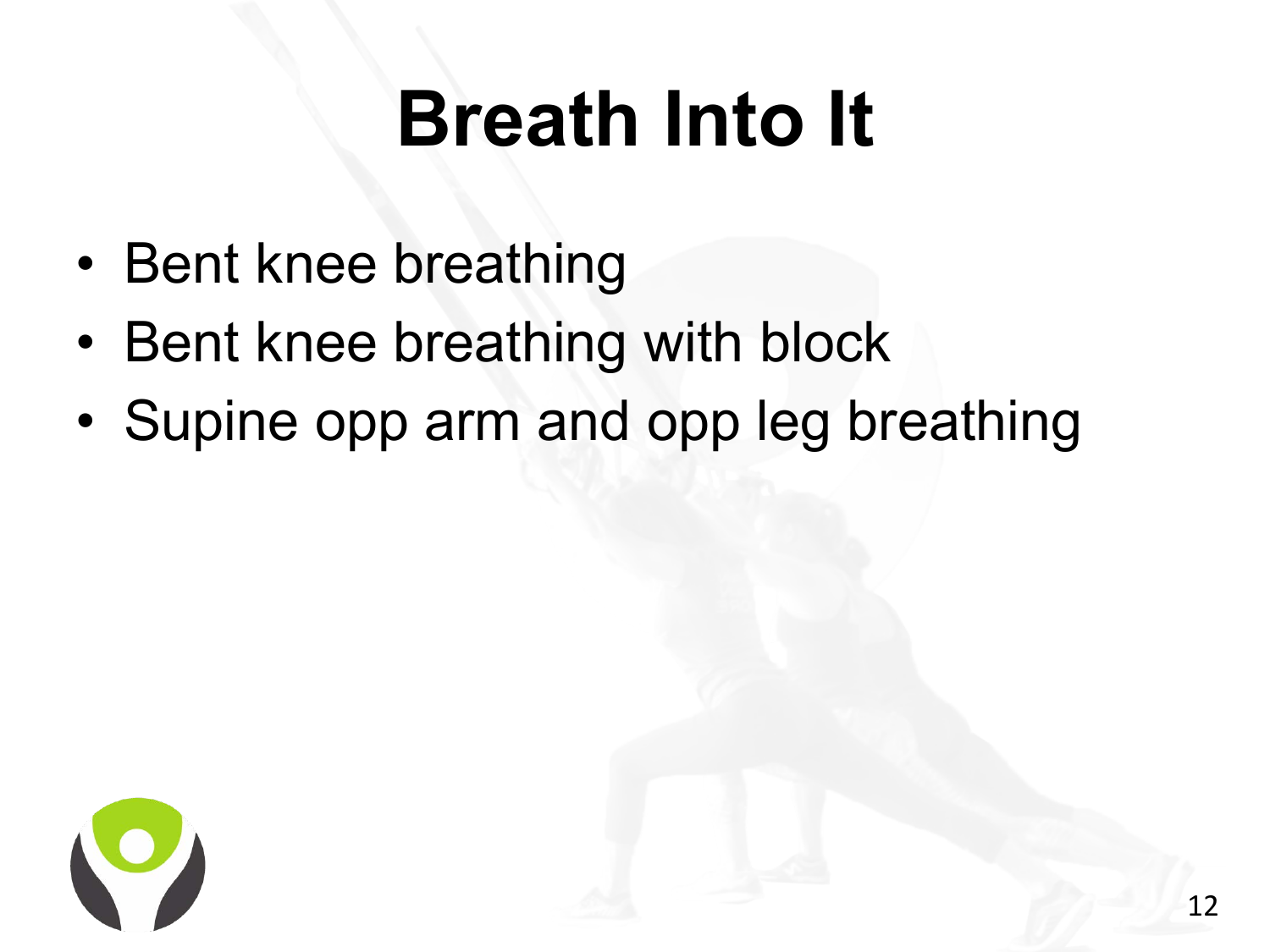### **Breath Into It**

- Bent knee breathing
- Bent knee breathing with block
- Supine opp arm and opp leg breathing

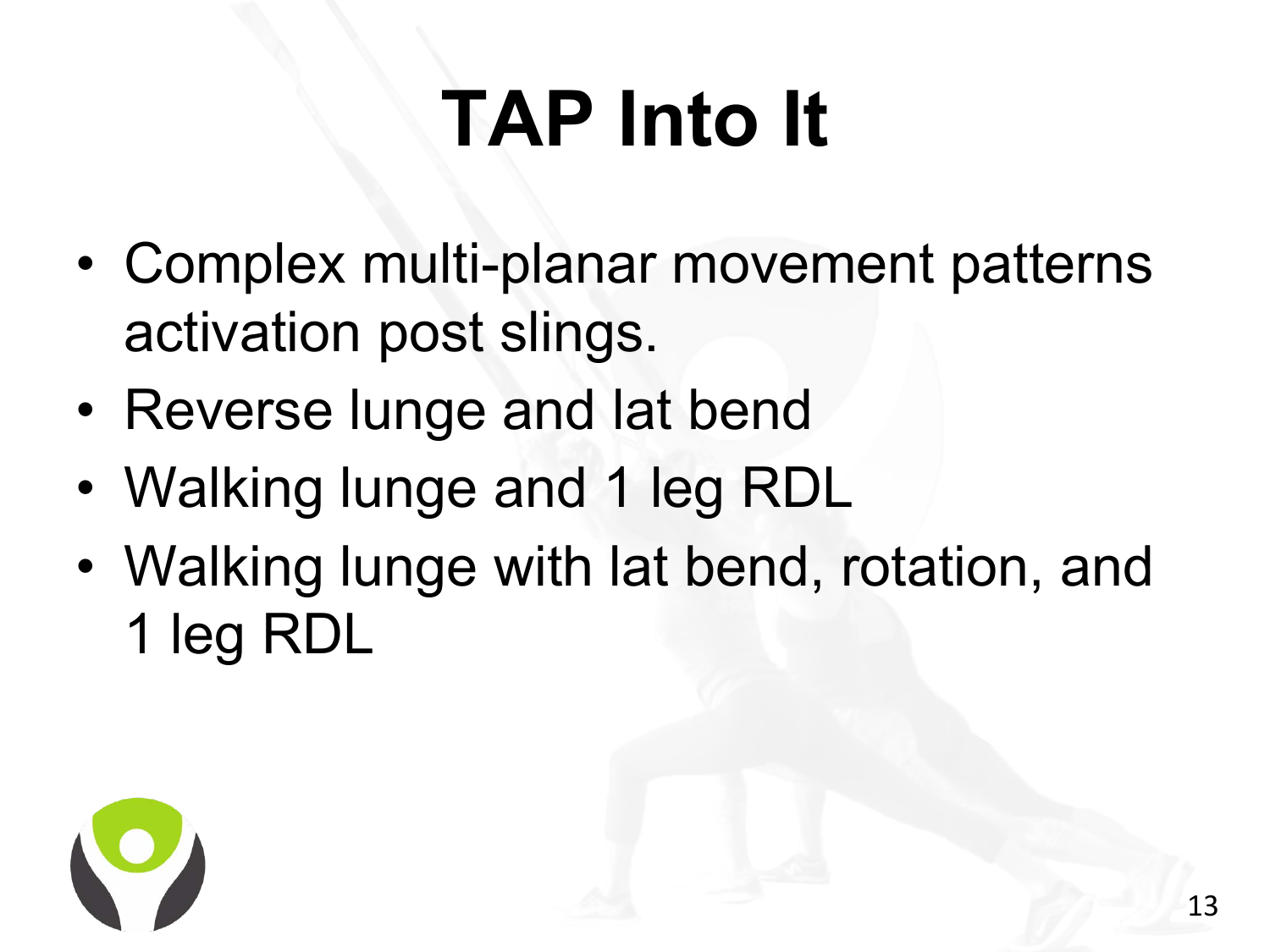# **TAP Into It**

- Complex multi-planar movement patterns activation post slings.
- Reverse lunge and lat bend
- Walking lunge and 1 leg RDL
- Walking lunge with lat bend, rotation, and 1 leg RDL

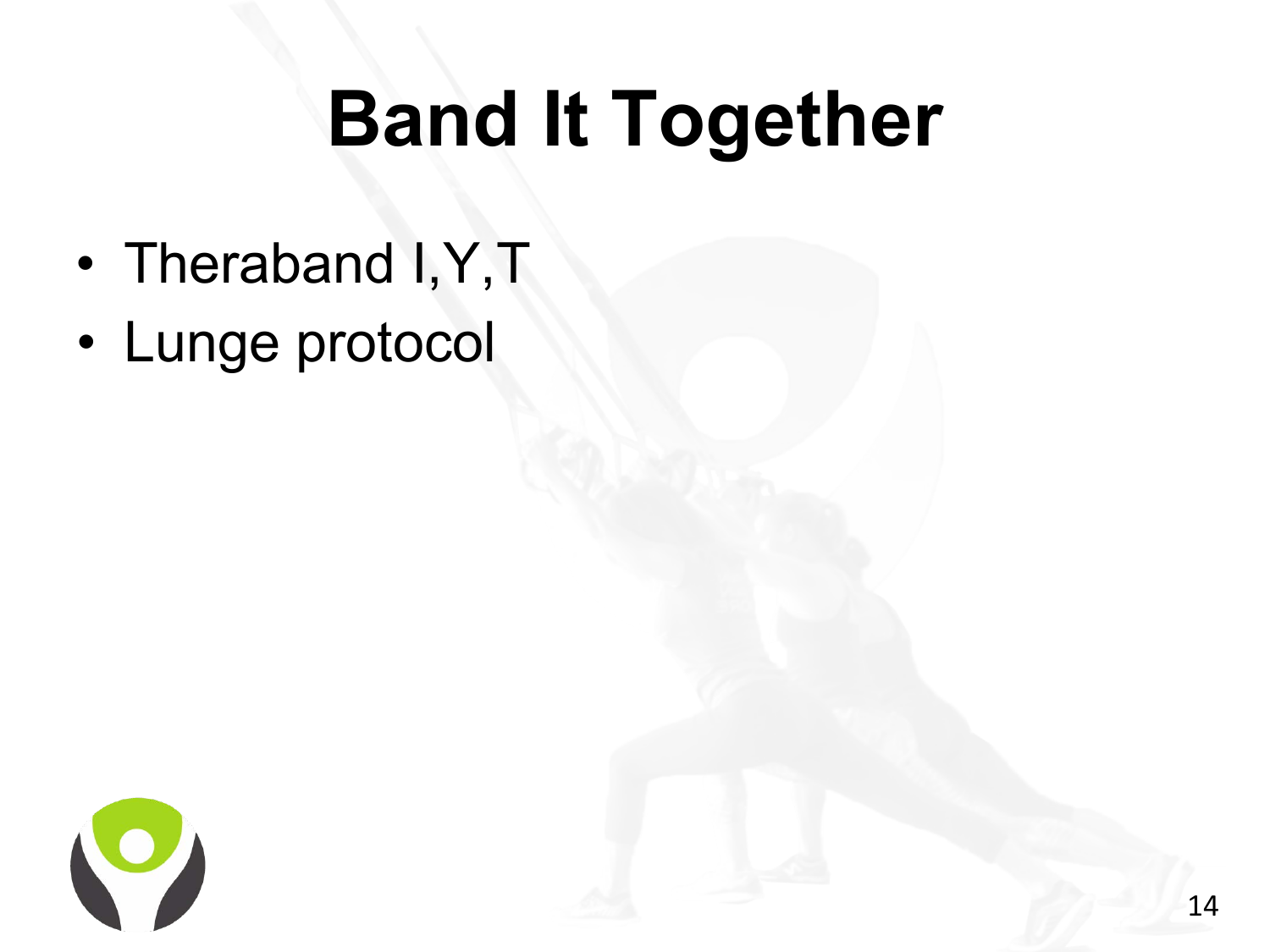### **Band It Together**

- Theraband I,Y,T
- Lunge protocol

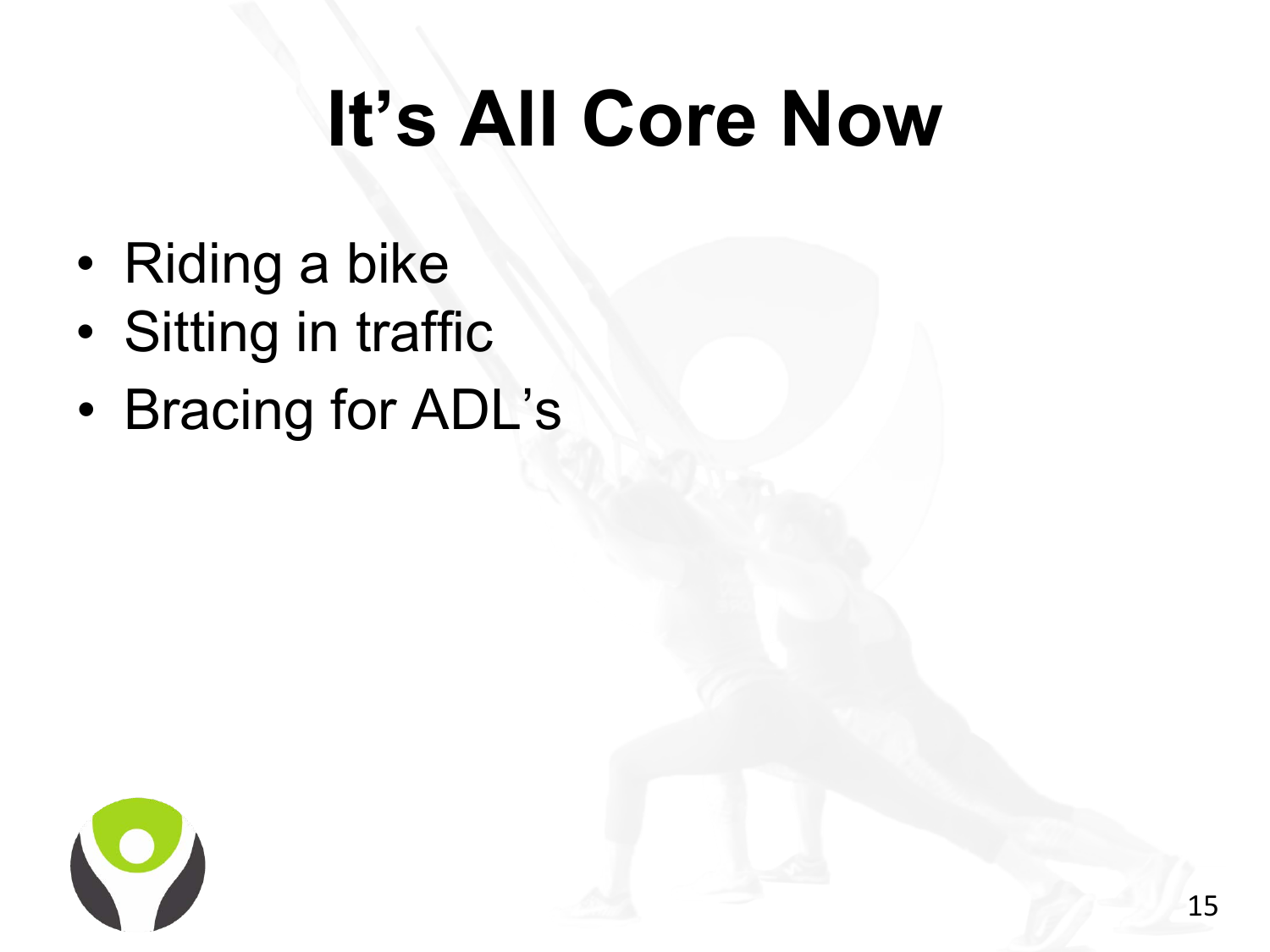# **It's All Core Now**

- Riding a bike
- Sitting in traffic
- Bracing for ADL's

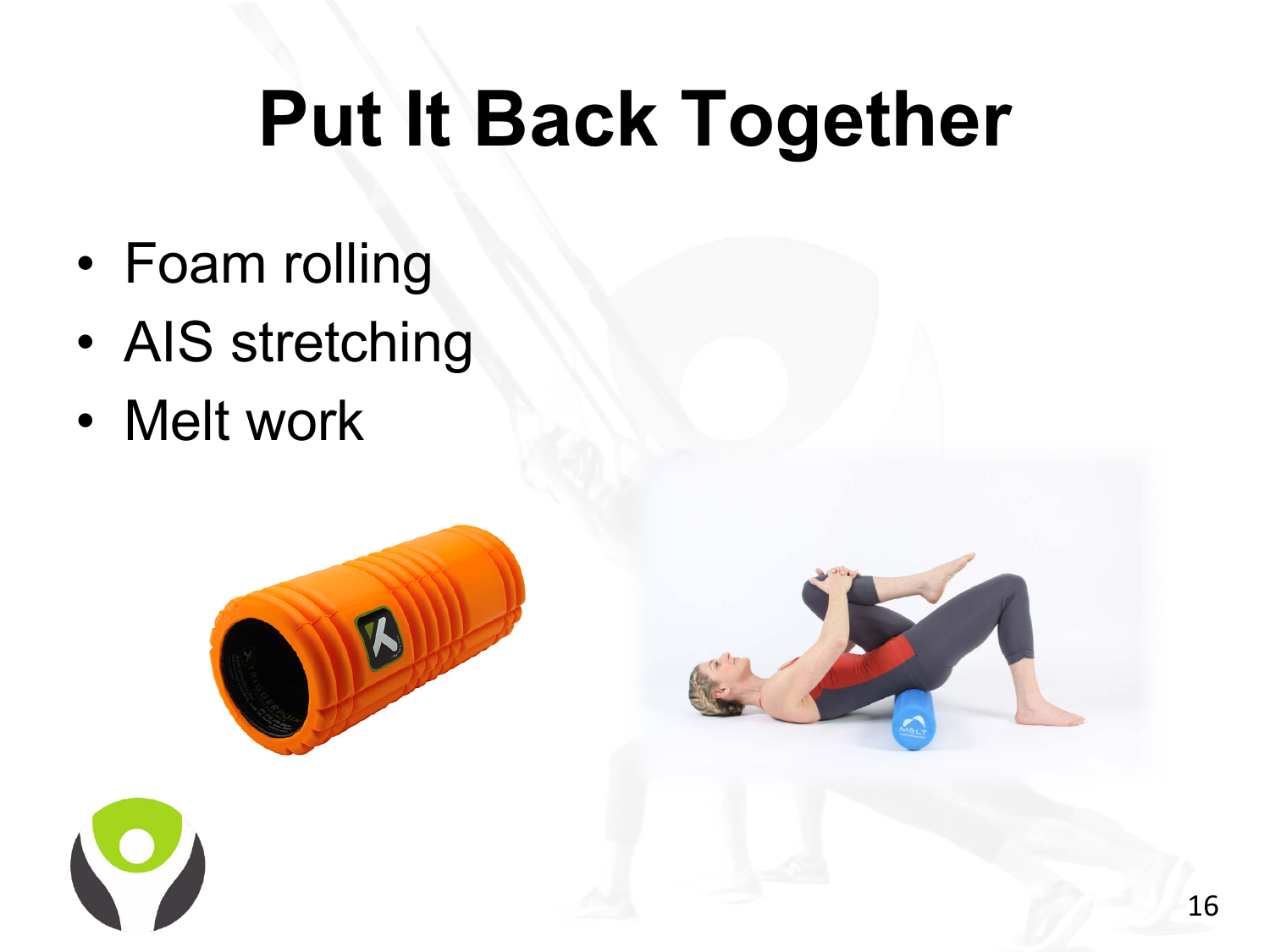### **Put It Back Together**

- Foam rolling
- AIS stretching
- Melt work



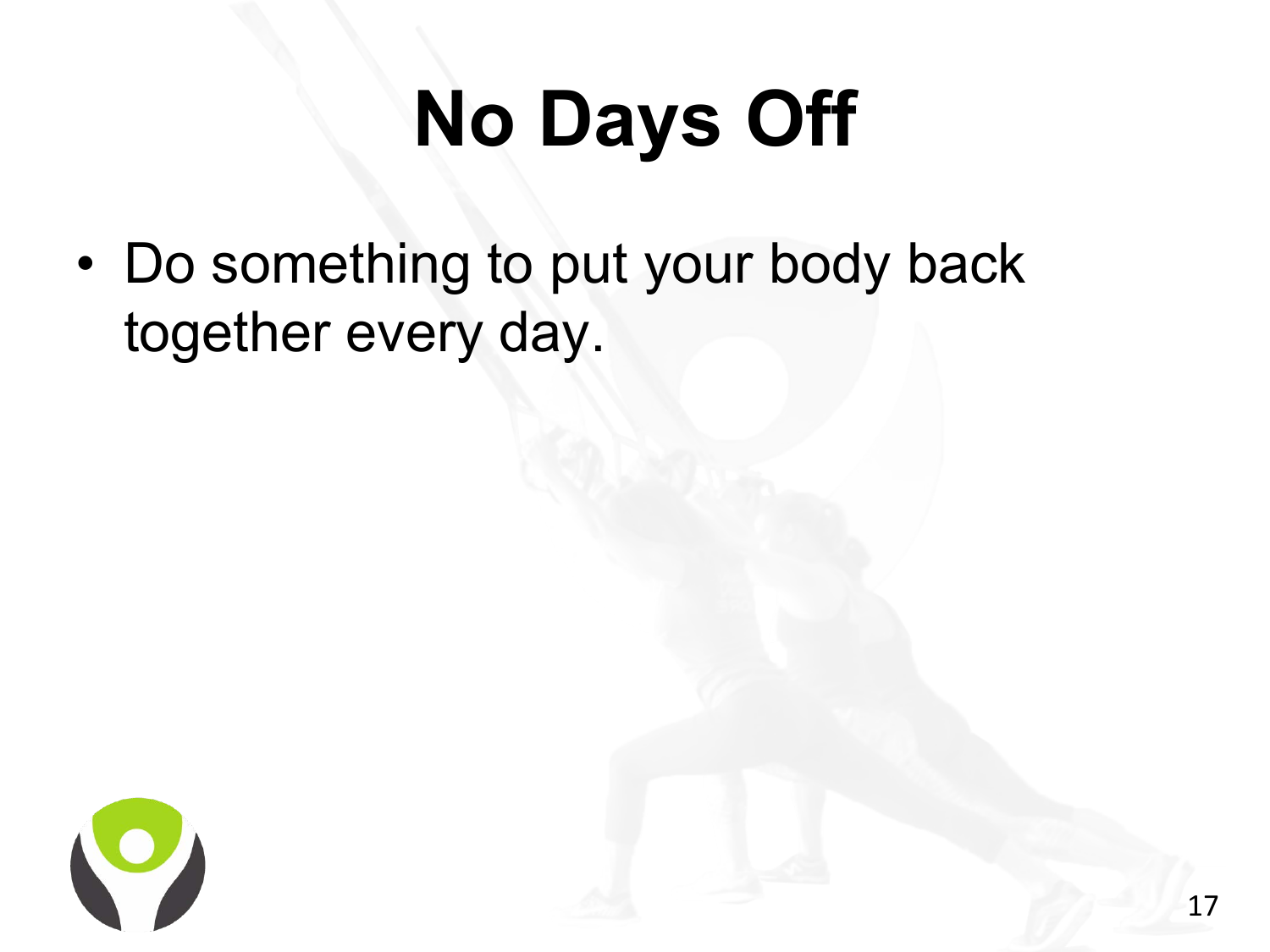# **No Days Off**

• Do something to put your body back together every day.

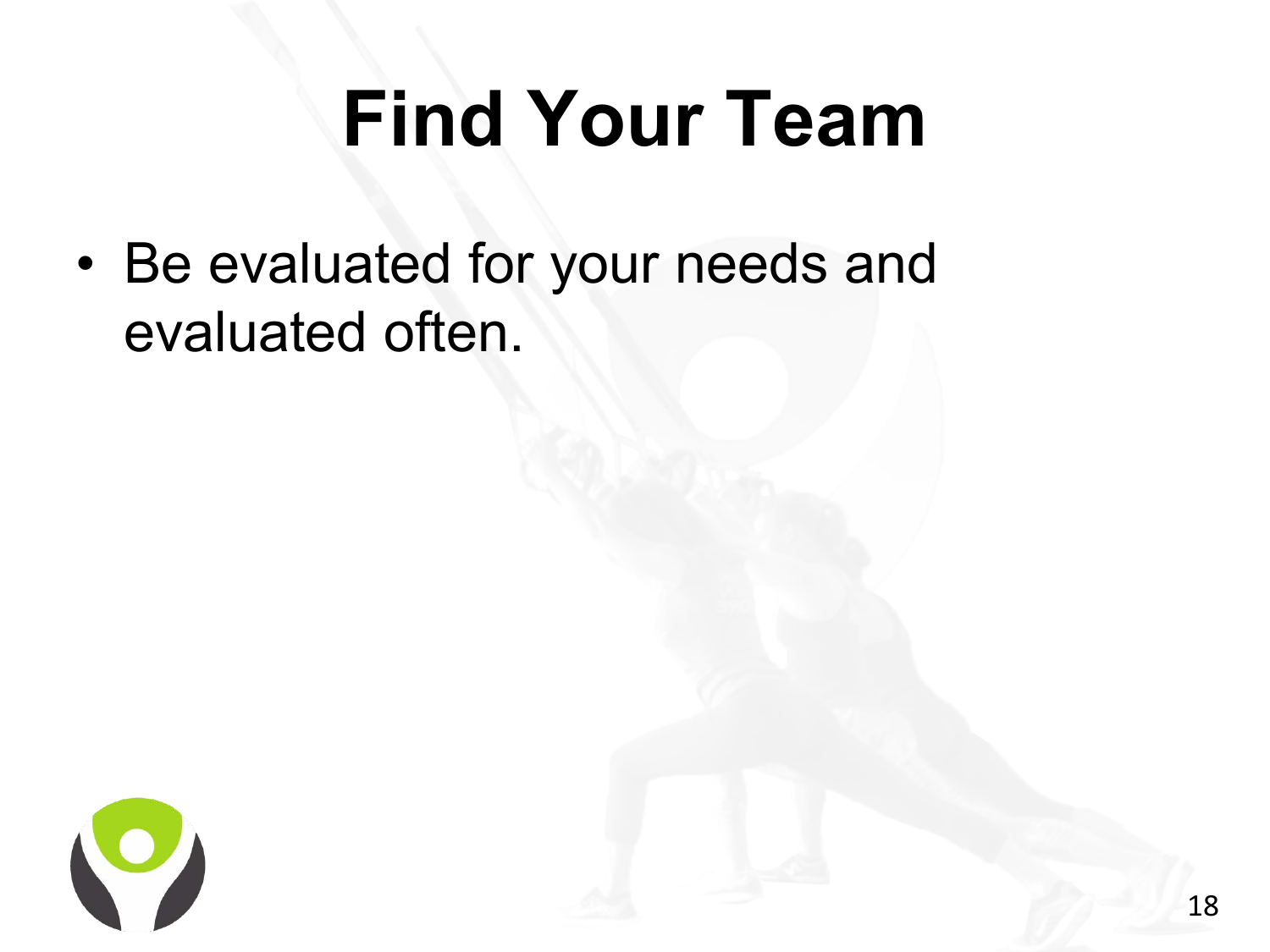### **Find Your Team**

• Be evaluated for your needs and evaluated often.

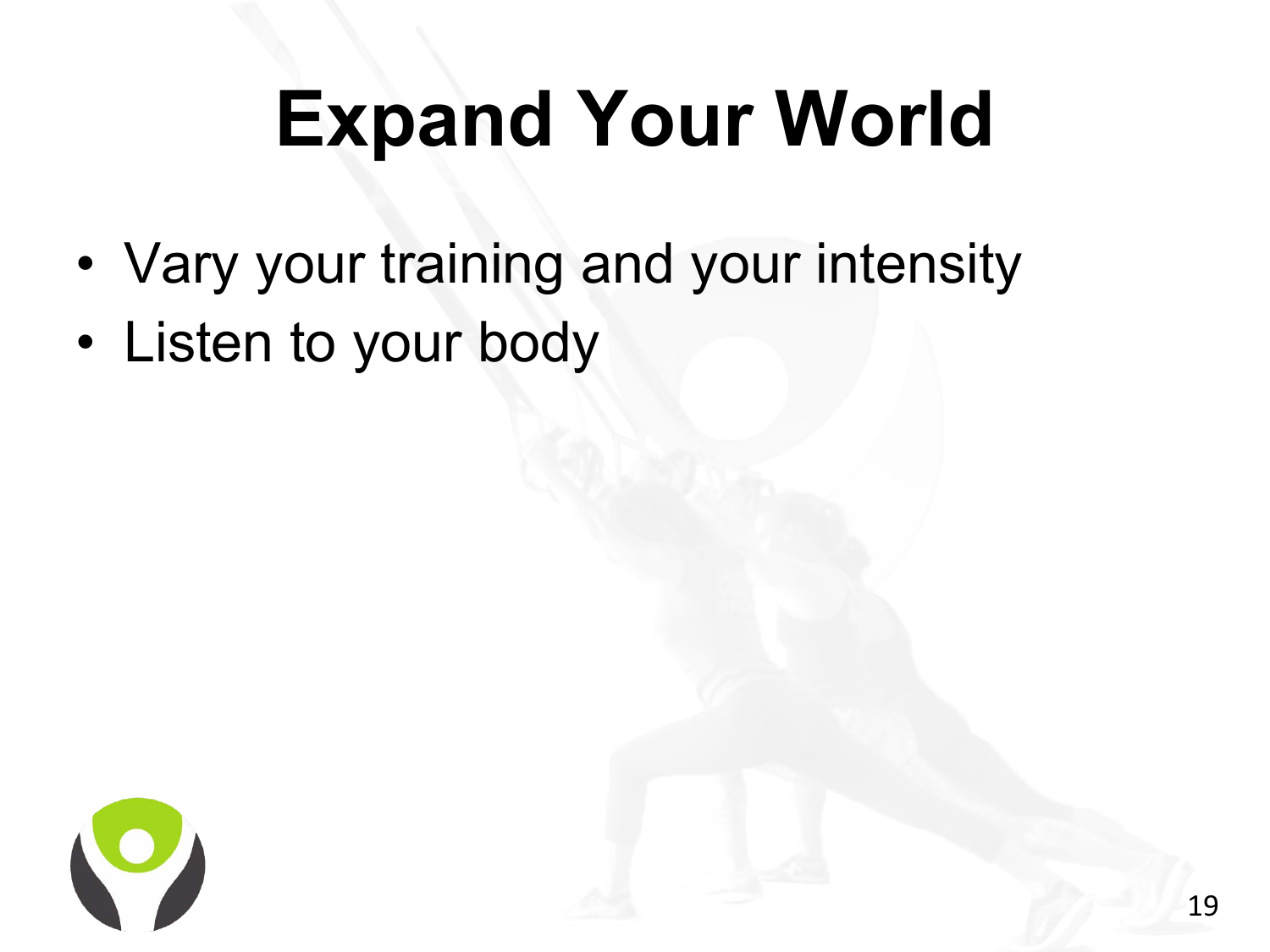# **Expand Your World**

- Vary your training and your intensity
- Listen to your body